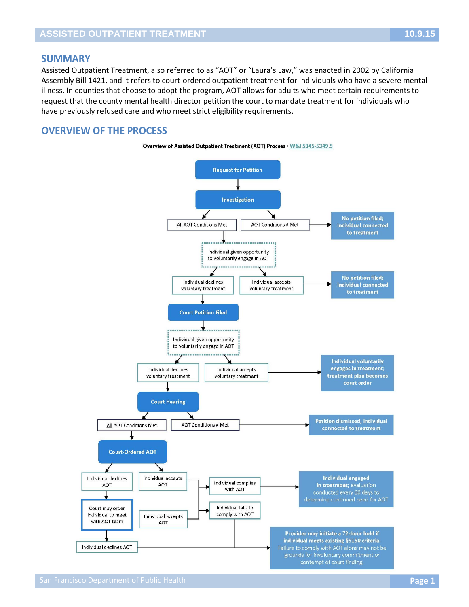## **SUMMARY**

Assisted Outpatient Treatment, also referred to as "AOT" or "Laura's Law," was enacted in 2002 by California Assembly Bill 1421, and it refers to court-ordered outpatient treatment for individuals who have a severe mental illness. In counties that choose to adopt the program, AOT allows for adults who meet certain requirements to request that the county mental health director petition the court to mandate treatment for individuals who have previously refused care and who meet strict eligibility requirements.

## **OVERVIEW OF THE PROCESS**

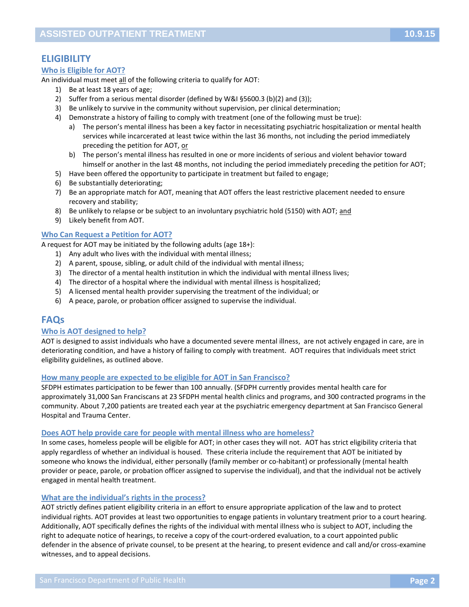# **ELIGIBILITY**

## **Who is Eligible for AOT?**

An individual must meet all of the following criteria to qualify for AOT:

- 1) Be at least 18 years of age;
- 2) Suffer from a serious mental disorder (defined by W&I §5600.3 (b)(2) and (3));
- 3) Be unlikely to survive in the community without supervision, per clinical determination;
- 4) Demonstrate a history of failing to comply with treatment (one of the following must be true):
	- a) The person's mental illness has been a key factor in necessitating psychiatric hospitalization or mental health services while incarcerated at least twice within the last 36 months, not including the period immediately preceding the petition for AOT, or
	- b) The person's mental illness has resulted in one or more incidents of serious and violent behavior toward himself or another in the last 48 months, not including the period immediately preceding the petition for AOT;
- 5) Have been offered the opportunity to participate in treatment but failed to engage;
- 6) Be substantially deteriorating;
- 7) Be an appropriate match for AOT, meaning that AOT offers the least restrictive placement needed to ensure recovery and stability;
- 8) Be unlikely to relapse or be subject to an involuntary psychiatric hold (5150) with AOT; and
- 9) Likely benefit from AOT.

## **Who Can Request a Petition for AOT?**

A request for AOT may be initiated by the following adults (age 18+):

- 1) Any adult who lives with the individual with mental illness;
- 2) A parent, spouse, sibling, or adult child of the individual with mental illness;
- 3) The director of a mental health institution in which the individual with mental illness lives;
- 4) The director of a hospital where the individual with mental illness is hospitalized;
- 5) A licensed mental health provider supervising the treatment of the individual; or
- 6) A peace, parole, or probation officer assigned to supervise the individual.

## **FAQs**

#### **Who is AOT designed to help?**

AOT is designed to assist individuals who have a documented severe mental illness, are not actively engaged in care, are in deteriorating condition, and have a history of failing to comply with treatment. AOT requires that individuals meet strict eligibility guidelines, as outlined above.

#### **How many people are expected to be eligible for AOT in San Francisco?**

SFDPH estimates participation to be fewer than 100 annually. (SFDPH currently provides mental health care for approximately 31,000 San Franciscans at 23 SFDPH mental health clinics and programs, and 300 contracted programs in the community. About 7,200 patients are treated each year at the psychiatric emergency department at San Francisco General Hospital and Trauma Center.

#### **Does AOT help provide care for people with mental illness who are homeless?**

In some cases, homeless people will be eligible for AOT; in other cases they will not. AOT has strict eligibility criteria that apply regardless of whether an individual is housed. These criteria include the requirement that AOT be initiated by someone who knows the individual, either personally (family member or co-habitant) or professionally (mental health provider or peace, parole, or probation officer assigned to supervise the individual), and that the individual not be actively engaged in mental health treatment.

#### **What are the individual's rights in the process?**

AOT strictly defines patient eligibility criteria in an effort to ensure appropriate application of the law and to protect individual rights. AOT provides at least two opportunities to engage patients in voluntary treatment prior to a court hearing. Additionally, AOT specifically defines the rights of the individual with mental illness who is subject to AOT, including the right to adequate notice of hearings, to receive a copy of the court-ordered evaluation, to a court appointed public defender in the absence of private counsel, to be present at the hearing, to present evidence and call and/or cross-examine witnesses, and to appeal decisions.